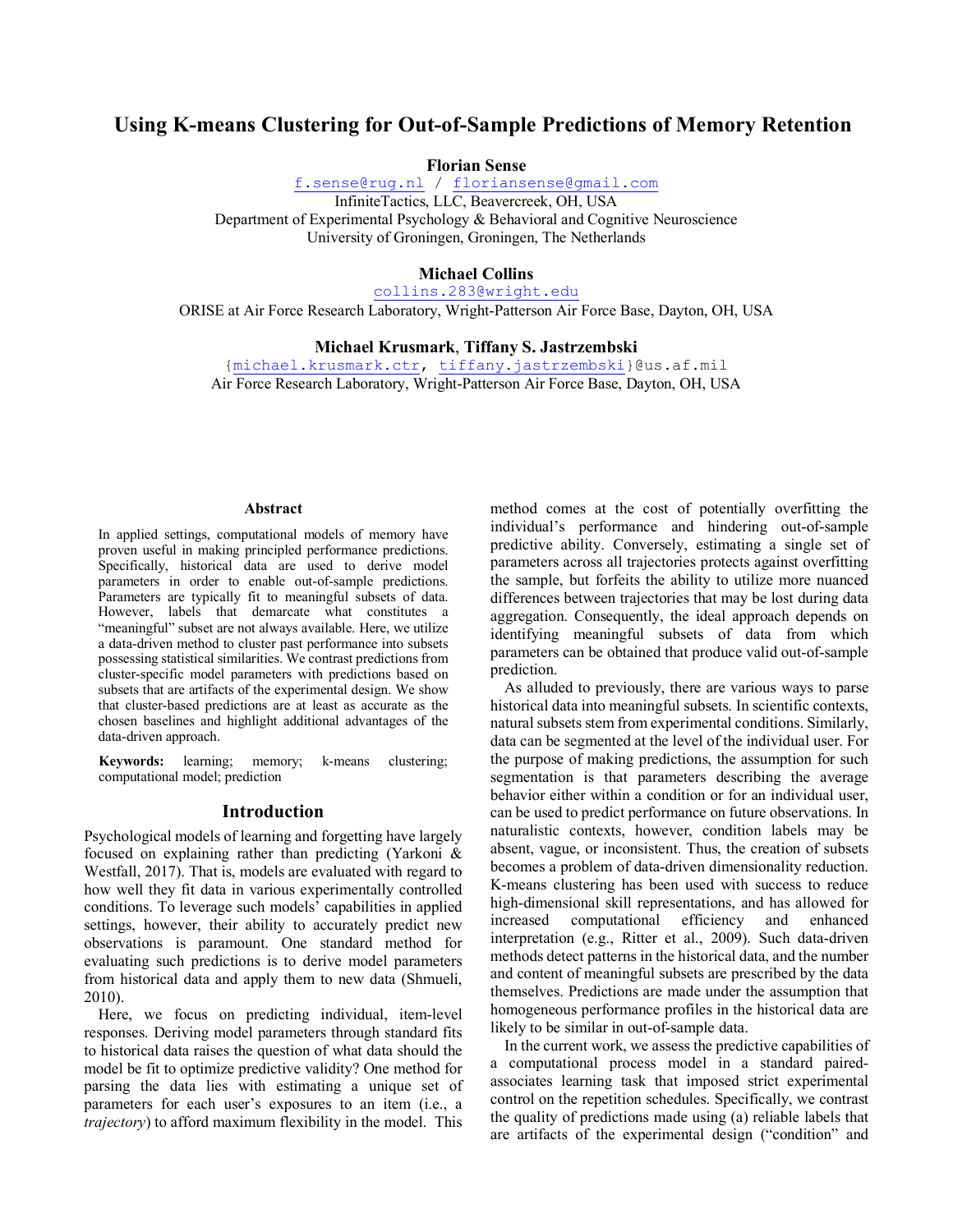# **Using K-means Clustering for Out-of-Sample Predictions of Memory Retention**

**Florian Sense**

f.sense@rug.nl / floriansense@gmail.com InfiniteTactics, LLC, Beavercreek, OH, USA Department of Experimental Psychology & Behavioral and Cognitive Neuroscience University of Groningen, Groningen, The Netherlands

# **Michael Collins**

collins.283@wright.edu

ORISE at Air Force Research Laboratory, Wright-Patterson Air Force Base, Dayton, OH, USA

### **Michael Krusmark**, **Tiffany S. Jastrzembski**

{michael.krusmark.ctr, tiffany.jastrzembski}@us.af.mil Air Force Research Laboratory, Wright-Patterson Air Force Base, Dayton, OH, USA

#### **Abstract**

In applied settings, computational models of memory have proven useful in making principled performance predictions. Specifically, historical data are used to derive model parameters in order to enable out-of-sample predictions. Parameters are typically fit to meaningful subsets of data. However, labels that demarcate what constitutes a "meaningful" subset are not always available. Here, we utilize a data-driven method to cluster past performance into subsets possessing statistical similarities. We contrast predictions from cluster-specific model parameters with predictions based on subsets that are artifacts of the experimental design. We show that cluster-based predictions are at least as accurate as the chosen baselines and highlight additional advantages of the data-driven approach.

**Keywords:** learning; memory; k-means clustering; computational model; prediction

#### **Introduction**

Psychological models of learning and forgetting have largely focused on explaining rather than predicting (Yarkoni & Westfall, 2017). That is, models are evaluated with regard to how well they fit data in various experimentally controlled conditions. To leverage such models' capabilities in applied settings, however, their ability to accurately predict new observations is paramount. One standard method for evaluating such predictions is to derive model parameters from historical data and apply them to new data (Shmueli, 2010).

Here, we focus on predicting individual, item-level responses. Deriving model parameters through standard fits to historical data raises the question of what data should the model be fit to optimize predictive validity? One method for parsing the data lies with estimating a unique set of parameters for each user's exposures to an item (i.e., a *trajectory*) to afford maximum flexibility in the model. This method comes at the cost of potentially overfitting the individual's performance and hindering out-of-sample predictive ability. Conversely, estimating a single set of parameters across all trajectories protects against overfitting the sample, but forfeits the ability to utilize more nuanced differences between trajectories that may be lost during data aggregation. Consequently, the ideal approach depends on identifying meaningful subsets of data from which parameters can be obtained that produce valid out-of-sample prediction.

As alluded to previously, there are various ways to parse historical data into meaningful subsets. In scientific contexts, natural subsets stem from experimental conditions. Similarly, data can be segmented at the level of the individual user. For the purpose of making predictions, the assumption for such segmentation is that parameters describing the average behavior either within a condition or for an individual user, can be used to predict performance on future observations. In naturalistic contexts, however, condition labels may be absent, vague, or inconsistent. Thus, the creation of subsets becomes a problem of data-driven dimensionality reduction. K-means clustering has been used with success to reduce high-dimensional skill representations, and has allowed for increased computational efficiency and enhanced interpretation (e.g., Ritter et al., 2009). Such data-driven methods detect patterns in the historical data, and the number and content of meaningful subsets are prescribed by the data themselves. Predictions are made under the assumption that homogeneous performance profiles in the historical data are likely to be similar in out-of-sample data.

In the current work, we assess the predictive capabilities of a computational process model in a standard pairedassociates learning task that imposed strict experimental control on the repetition schedules. Specifically, we contrast the quality of predictions made using (a) reliable labels that are artifacts of the experimental design ("condition" and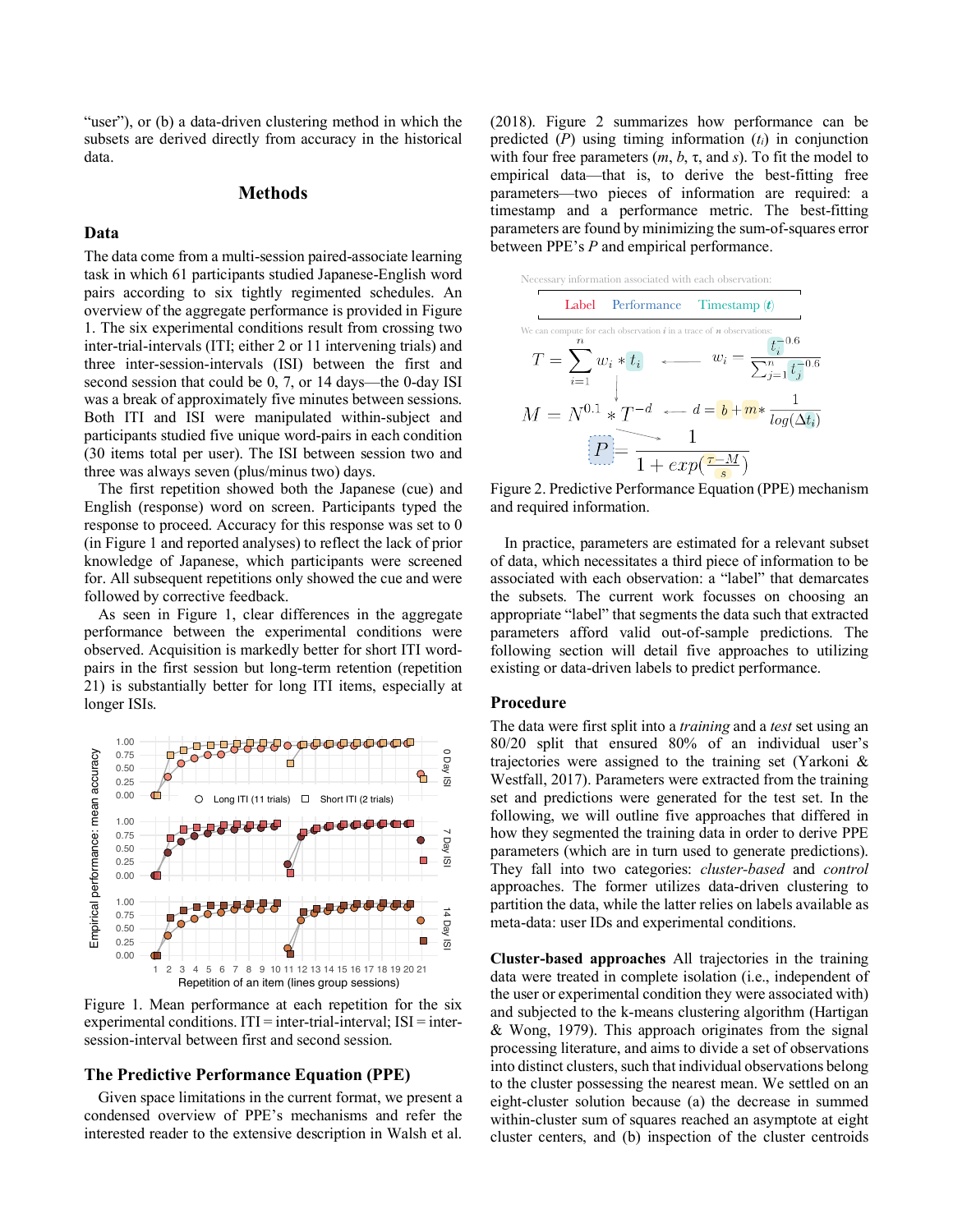"user"), or (b) a data-driven clustering method in which the subsets are derived directly from accuracy in the historical data.

# **Methods**

## **Data**

The data come from a multi-session paired-associate learning task in which 61 participants studied Japanese-English word pairs according to six tightly regimented schedules. An overview of the aggregate performance is provided in Figure 1. The six experimental conditions result from crossing two inter-trial-intervals (ITI; either 2 or 11 intervening trials) and three inter-session-intervals (ISI) between the first and second session that could be 0, 7, or 14 days—the 0-day ISI was a break of approximately five minutes between sessions. Both ITI and ISI were manipulated within-subject and participants studied five unique word-pairs in each condition (30 items total per user). The ISI between session two and three was always seven (plus/minus two) days.

The first repetition showed both the Japanese (cue) and English (response) word on screen. Participants typed the response to proceed. Accuracy for this response was set to 0 (in Figure 1 and reported analyses) to reflect the lack of prior knowledge of Japanese, which participants were screened for. All subsequent repetitions only showed the cue and were followed by corrective feedback.

As seen in Figure 1, clear differences in the aggregate performance between the experimental conditions were observed. Acquisition is markedly better for short ITI wordpairs in the first session but long-term retention (repetition 21) is substantially better for long ITI items, especially at longer ISIs.



Figure 1. Mean performance at each repetition for the six experimental conditions.  $ITI =$ inter-trial-interval;  $ISI =$ intersession-interval between first and second session.

## **The Predictive Performance Equation (PPE)**

Given space limitations in the current format, we present a condensed overview of PPE's mechanisms and refer the interested reader to the extensive description in Walsh et al. (2018). Figure 2 summarizes how performance can be predicted (*P*) using timing information (*ti*) in conjunction with four free parameters  $(m, b, \tau,$  and *s*). To fit the model to empirical data—that is, to derive the best-fitting free parameters—two pieces of information are required: a timestamp and a performance metric. The best-fitting parameters are found by minimizing the sum-of-squares error between PPE's *P* and empirical performance.



Figure 2. Predictive Performance Equation (PPE) mechanism and required information.

In practice, parameters are estimated for a relevant subset of data, which necessitates a third piece of information to be associated with each observation: a "label" that demarcates the subsets. The current work focusses on choosing an appropriate "label" that segments the data such that extracted parameters afford valid out-of-sample predictions. The following section will detail five approaches to utilizing existing or data-driven labels to predict performance.

# **Procedure**

The data were first split into a *training* and a *test* set using an 80/20 split that ensured 80% of an individual user's trajectories were assigned to the training set (Yarkoni & Westfall, 2017). Parameters were extracted from the training set and predictions were generated for the test set. In the following, we will outline five approaches that differed in how they segmented the training data in order to derive PPE parameters (which are in turn used to generate predictions). They fall into two categories: *cluster-based* and *control*  approaches. The former utilizes data-driven clustering to partition the data, while the latter relies on labels available as meta-data: user IDs and experimental conditions.

**Cluster-based approaches** All trajectories in the training data were treated in complete isolation (i.e., independent of the user or experimental condition they were associated with) and subjected to the k-means clustering algorithm (Hartigan & Wong, 1979). This approach originates from the signal processing literature, and aims to divide a set of observations into distinct clusters, such that individual observations belong to the cluster possessing the nearest mean. We settled on an eight-cluster solution because (a) the decrease in summed within-cluster sum of squares reached an asymptote at eight cluster centers, and (b) inspection of the cluster centroids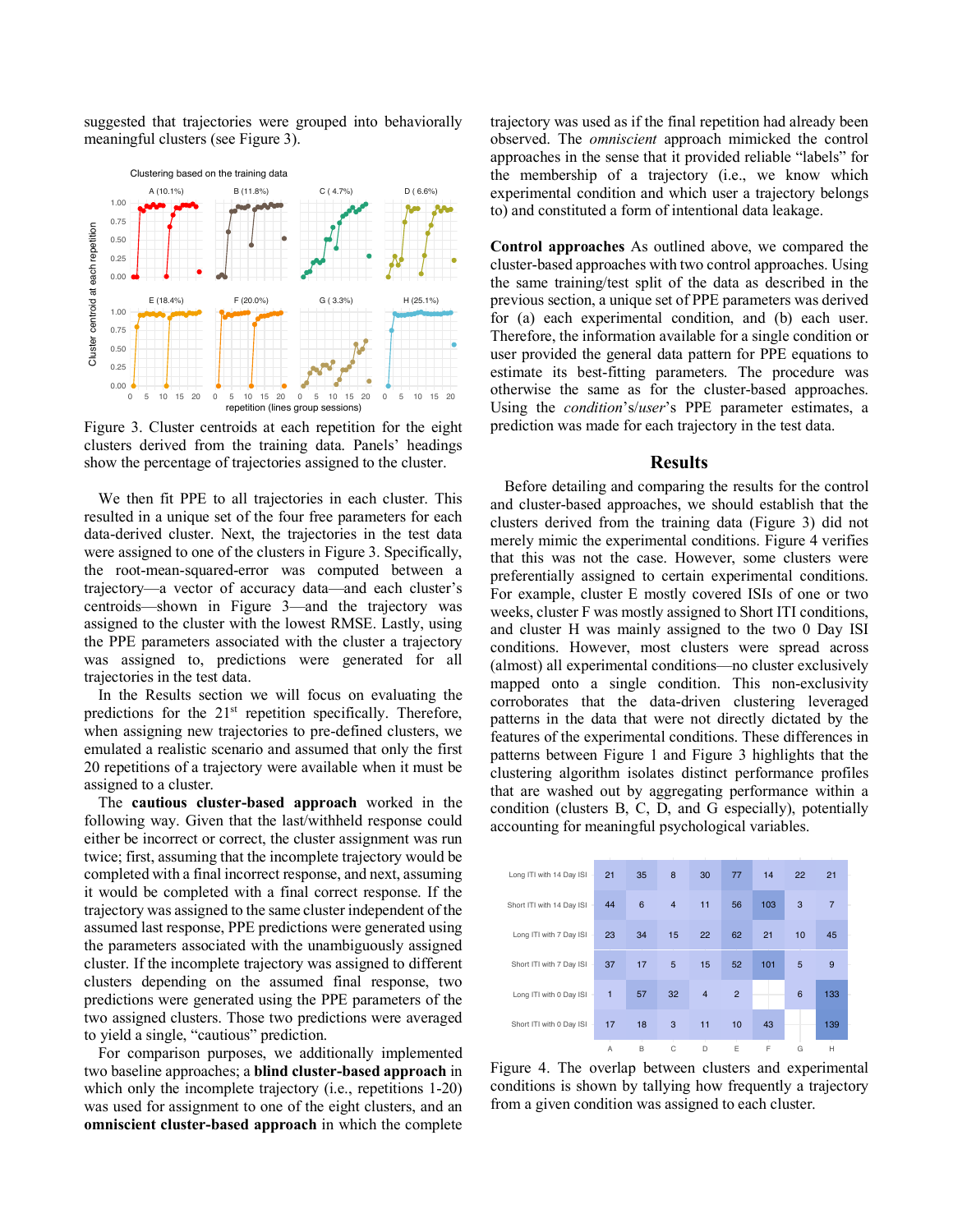suggested that trajectories were grouped into behaviorally meaningful clusters (see Figure 3).



Figure 3. Cluster centroids at each repetition for the eight clusters derived from the training data. Panels' headings show the percentage of trajectories assigned to the cluster.

We then fit PPE to all trajectories in each cluster. This resulted in a unique set of the four free parameters for each data-derived cluster. Next, the trajectories in the test data were assigned to one of the clusters in Figure 3. Specifically, the root-mean-squared-error was computed between a trajectory—a vector of accuracy data—and each cluster's centroids—shown in Figure 3—and the trajectory was assigned to the cluster with the lowest RMSE. Lastly, using the PPE parameters associated with the cluster a trajectory was assigned to, predictions were generated for all trajectories in the test data.

In the Results section we will focus on evaluating the predictions for the 21<sup>st</sup> repetition specifically. Therefore, when assigning new trajectories to pre-defined clusters, we emulated a realistic scenario and assumed that only the first 20 repetitions of a trajectory were available when it must be assigned to a cluster.

The **cautious cluster-based approach** worked in the following way. Given that the last/withheld response could either be incorrect or correct, the cluster assignment was run twice; first, assuming that the incomplete trajectory would be completed with a final incorrect response, and next, assuming it would be completed with a final correct response. If the trajectory was assigned to the same cluster independent of the assumed last response, PPE predictions were generated using the parameters associated with the unambiguously assigned cluster. If the incomplete trajectory was assigned to different clusters depending on the assumed final response, two predictions were generated using the PPE parameters of the two assigned clusters. Those two predictions were averaged to yield a single, "cautious" prediction.

For comparison purposes, we additionally implemented two baseline approaches; a **blind cluster-based approach** in which only the incomplete trajectory (i.e., repetitions 1-20) was used for assignment to one of the eight clusters, and an **omniscient cluster-based approach** in which the complete

trajectory was used as if the final repetition had already been observed. The *omniscient* approach mimicked the control approaches in the sense that it provided reliable "labels" for the membership of a trajectory (i.e., we know which experimental condition and which user a trajectory belongs to) and constituted a form of intentional data leakage.

**Control approaches** As outlined above, we compared the cluster-based approaches with two control approaches. Using the same training/test split of the data as described in the previous section, a unique set of PPE parameters was derived for (a) each experimental condition, and (b) each user. Therefore, the information available for a single condition or user provided the general data pattern for PPE equations to estimate its best-fitting parameters. The procedure was otherwise the same as for the cluster-based approaches. Using the *condition*'s/*user*'s PPE parameter estimates, a prediction was made for each trajectory in the test data.

#### **Results**

Before detailing and comparing the results for the control and cluster-based approaches, we should establish that the clusters derived from the training data (Figure 3) did not merely mimic the experimental conditions. Figure 4 verifies that this was not the case. However, some clusters were preferentially assigned to certain experimental conditions. For example, cluster E mostly covered ISIs of one or two weeks, cluster F was mostly assigned to Short ITI conditions, and cluster H was mainly assigned to the two 0 Day ISI conditions. However, most clusters were spread across (almost) all experimental conditions—no cluster exclusively mapped onto a single condition. This non-exclusivity corroborates that the data-driven clustering leveraged patterns in the data that were not directly dictated by the features of the experimental conditions. These differences in patterns between Figure 1 and Figure 3 highlights that the clustering algorithm isolates distinct performance profiles that are washed out by aggregating performance within a condition (clusters B, C, D, and G especially), potentially accounting for meaningful psychological variables.

| Long ITI with 14 Day ISI  | 21             | 35 | 8              | 30             | 77             | 14  | 22 | 21     |
|---------------------------|----------------|----|----------------|----------------|----------------|-----|----|--------|
| Short ITI with 14 Day ISI | 44             | 6  | $\overline{4}$ | 11             | 56             | 103 | 3  | 7      |
| Long ITI with 7 Day ISI   | 23             | 34 | 15             | 22             | 62             | 21  | 10 | 45     |
| Short ITI with 7 Day ISI  | 37             | 17 | 5              | 15             | 52             | 101 | 5  | 9      |
| Long ITI with 0 Day ISI   | $\overline{1}$ | 57 | 32             | $\overline{4}$ | $\overline{2}$ |     | 6  | 133    |
| Short ITI with 0 Day ISI  | 17             | 18 | 3              | 11             | 10             | 43  |    | 139    |
|                           | A              | B  | C              | D              | Ε              | F   | G  | T<br>Н |

Figure 4. The overlap between clusters and experimental conditions is shown by tallying how frequently a trajectory from a given condition was assigned to each cluster.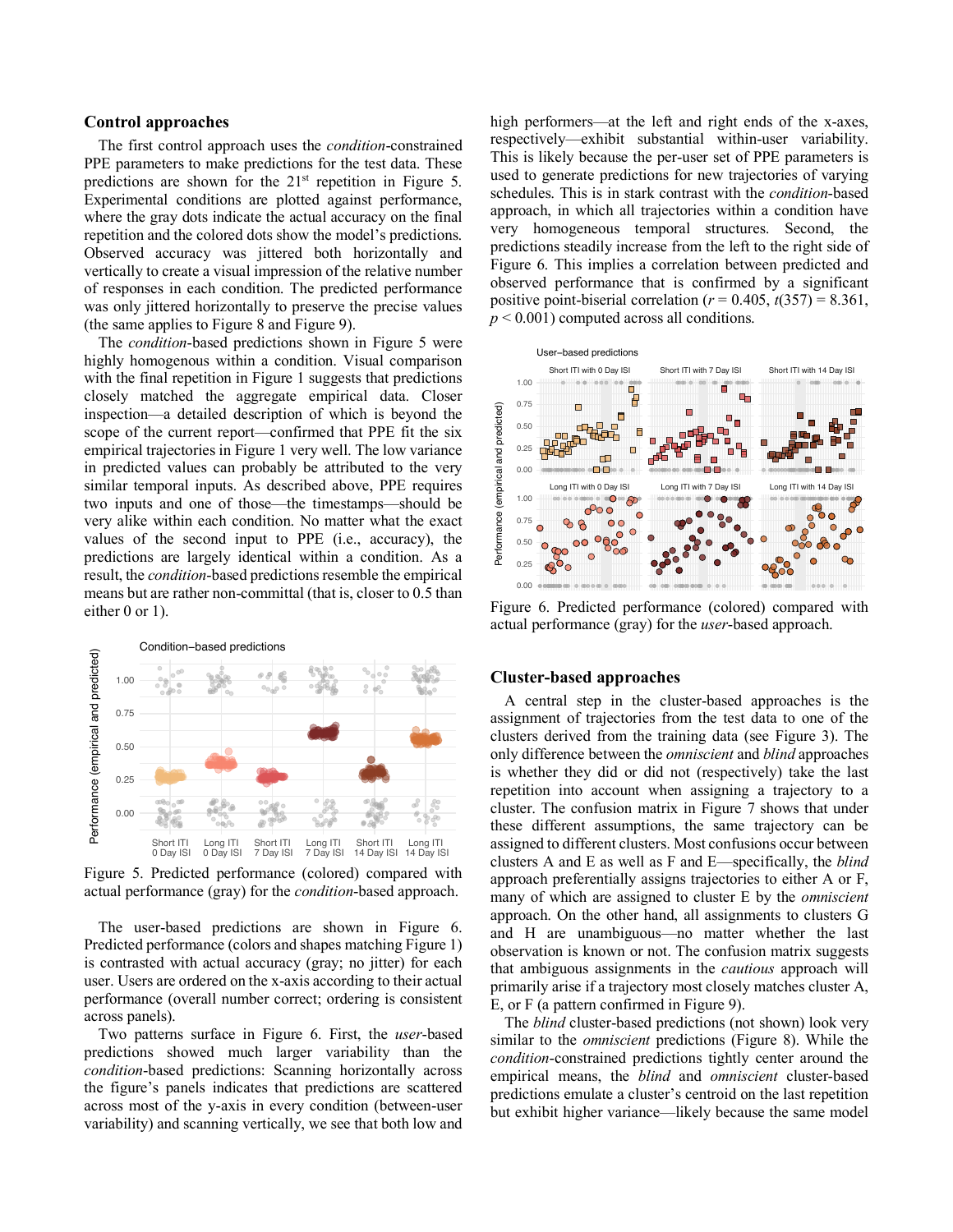#### **Control approaches**

The first control approach uses the *condition*-constrained PPE parameters to make predictions for the test data. These predictions are shown for the 21st repetition in Figure 5. Experimental conditions are plotted against performance, where the gray dots indicate the actual accuracy on the final repetition and the colored dots show the model's predictions. Observed accuracy was jittered both horizontally and vertically to create a visual impression of the relative number of responses in each condition. The predicted performance was only jittered horizontally to preserve the precise values (the same applies to Figure 8 and Figure 9).

The *condition*-based predictions shown in Figure 5 were highly homogenous within a condition. Visual comparison with the final repetition in Figure 1 suggests that predictions closely matched the aggregate empirical data. Closer inspection—a detailed description of which is beyond the scope of the current report—confirmed that PPE fit the six empirical trajectories in Figure 1 very well. The low variance in predicted values can probably be attributed to the very similar temporal inputs. As described above, PPE requires two inputs and one of those—the timestamps—should be very alike within each condition. No matter what the exact values of the second input to PPE (i.e., accuracy), the predictions are largely identical within a condition. As a result, the *condition*-based predictions resemble the empirical means but are rather non-committal (that is, closer to 0.5 than either 0 or 1).



Figure 5. Predicted performance (colored) compared with actual performance (gray) for the *condition*-based approach.

The user-based predictions are shown in Figure 6. Predicted performance (colors and shapes matching Figure 1) is contrasted with actual accuracy (gray; no jitter) for each user. Users are ordered on the x-axis according to their actual performance (overall number correct; ordering is consistent across panels).

Two patterns surface in Figure 6. First, the *user*-based predictions showed much larger variability than the *condition*-based predictions: Scanning horizontally across the figure's panels indicates that predictions are scattered across most of the y-axis in every condition (between-user variability) and scanning vertically, we see that both low and high performers—at the left and right ends of the x-axes, respectively—exhibit substantial within-user variability. This is likely because the per-user set of PPE parameters is used to generate predictions for new trajectories of varying schedules. This is in stark contrast with the *condition*-based approach, in which all trajectories within a condition have very homogeneous temporal structures. Second, the predictions steadily increase from the left to the right side of Figure 6. This implies a correlation between predicted and observed performance that is confirmed by a significant positive point-biserial correlation ( $r = 0.405$ ,  $t(357) = 8.361$ , *p* < 0.001) computed across all conditions.



Figure 6. Predicted performance (colored) compared with actual performance (gray) for the *user*-based approach.

# **Cluster-based approaches**

A central step in the cluster-based approaches is the assignment of trajectories from the test data to one of the clusters derived from the training data (see Figure 3). The only difference between the *omniscient* and *blind* approaches is whether they did or did not (respectively) take the last repetition into account when assigning a trajectory to a cluster. The confusion matrix in Figure 7 shows that under these different assumptions, the same trajectory can be assigned to different clusters. Most confusions occur between clusters A and E as well as F and E—specifically, the *blind* approach preferentially assigns trajectories to either A or F, many of which are assigned to cluster E by the *omniscient* approach. On the other hand, all assignments to clusters G and H are unambiguous—no matter whether the last observation is known or not. The confusion matrix suggests that ambiguous assignments in the *cautious* approach will primarily arise if a trajectory most closely matches cluster A, E, or F (a pattern confirmed in Figure 9).

The *blind* cluster-based predictions (not shown) look very similar to the *omniscient* predictions (Figure 8). While the *condition*-constrained predictions tightly center around the empirical means, the *blind* and *omniscient* cluster-based predictions emulate a cluster's centroid on the last repetition but exhibit higher variance—likely because the same model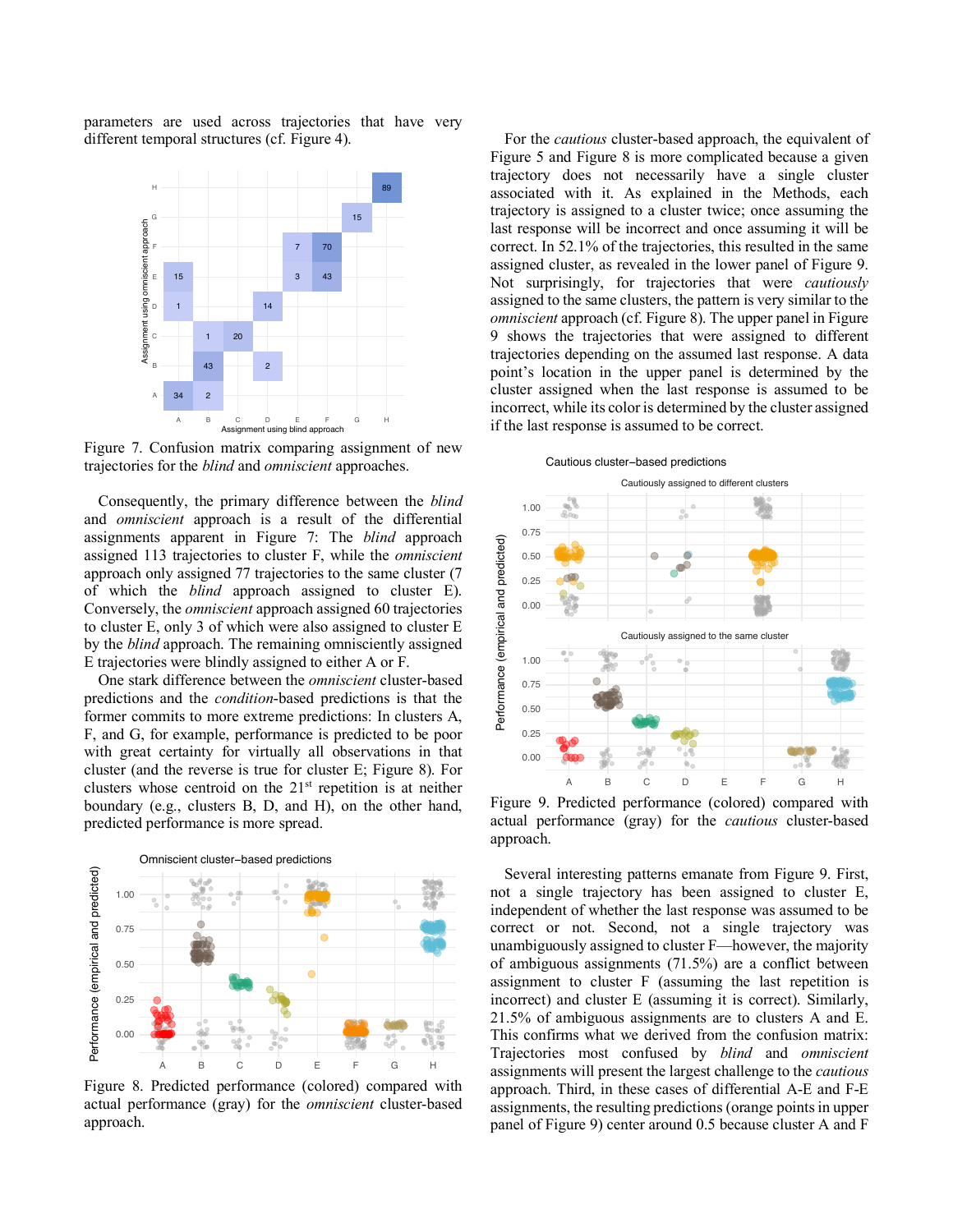parameters are used across trajectories that have very different temporal structures (cf. Figure 4).



Figure 7. Confusion matrix comparing assignment of new trajectories for the *blind* and *omniscient* approaches.

Consequently, the primary difference between the *blind* and *omniscient* approach is a result of the differential assignments apparent in Figure 7: The *blind* approach assigned 113 trajectories to cluster F, while the *omniscient* approach only assigned 77 trajectories to the same cluster (7 of which the *blind* approach assigned to cluster E). Conversely, the *omniscient* approach assigned 60 trajectories to cluster E, only 3 of which were also assigned to cluster E by the *blind* approach. The remaining omnisciently assigned E trajectories were blindly assigned to either A or F.

One stark difference between the *omniscient* cluster-based predictions and the *condition*-based predictions is that the former commits to more extreme predictions: In clusters A, F, and G, for example, performance is predicted to be poor with great certainty for virtually all observations in that cluster (and the reverse is true for cluster E; Figure 8). For clusters whose centroid on the 21st repetition is at neither boundary (e.g., clusters B, D, and H), on the other hand, predicted performance is more spread.



Figure 8. Predicted performance (colored) compared with actual performance (gray) for the *omniscient* cluster-based approach.

For the *cautious* cluster-based approach, the equivalent of Figure 5 and Figure 8 is more complicated because a given trajectory does not necessarily have a single cluster associated with it. As explained in the Methods, each trajectory is assigned to a cluster twice; once assuming the last response will be incorrect and once assuming it will be correct. In 52.1% of the trajectories, this resulted in the same assigned cluster, as revealed in the lower panel of Figure 9. Not surprisingly, for trajectories that were *cautiously* assigned to the same clusters, the pattern is very similar to the *omniscient* approach (cf. Figure 8). The upper panel in Figure 9 shows the trajectories that were assigned to different trajectories depending on the assumed last response. A data point's location in the upper panel is determined by the cluster assigned when the last response is assumed to be incorrect, while its color is determined by the cluster assigned if the last response is assumed to be correct.

Cautious cluster−based predictions



Figure 9. Predicted performance (colored) compared with actual performance (gray) for the *cautious* cluster-based approach.

Several interesting patterns emanate from Figure 9. First, not a single trajectory has been assigned to cluster E, independent of whether the last response was assumed to be correct or not. Second, not a single trajectory was unambiguously assigned to cluster F—however, the majority of ambiguous assignments (71.5%) are a conflict between assignment to cluster F (assuming the last repetition is incorrect) and cluster E (assuming it is correct). Similarly, 21.5% of ambiguous assignments are to clusters A and E. This confirms what we derived from the confusion matrix: Trajectories most confused by *blind* and *omniscient* assignments will present the largest challenge to the *cautious* approach. Third, in these cases of differential A-E and F-E assignments, the resulting predictions (orange points in upper panel of Figure 9) center around 0.5 because cluster A and F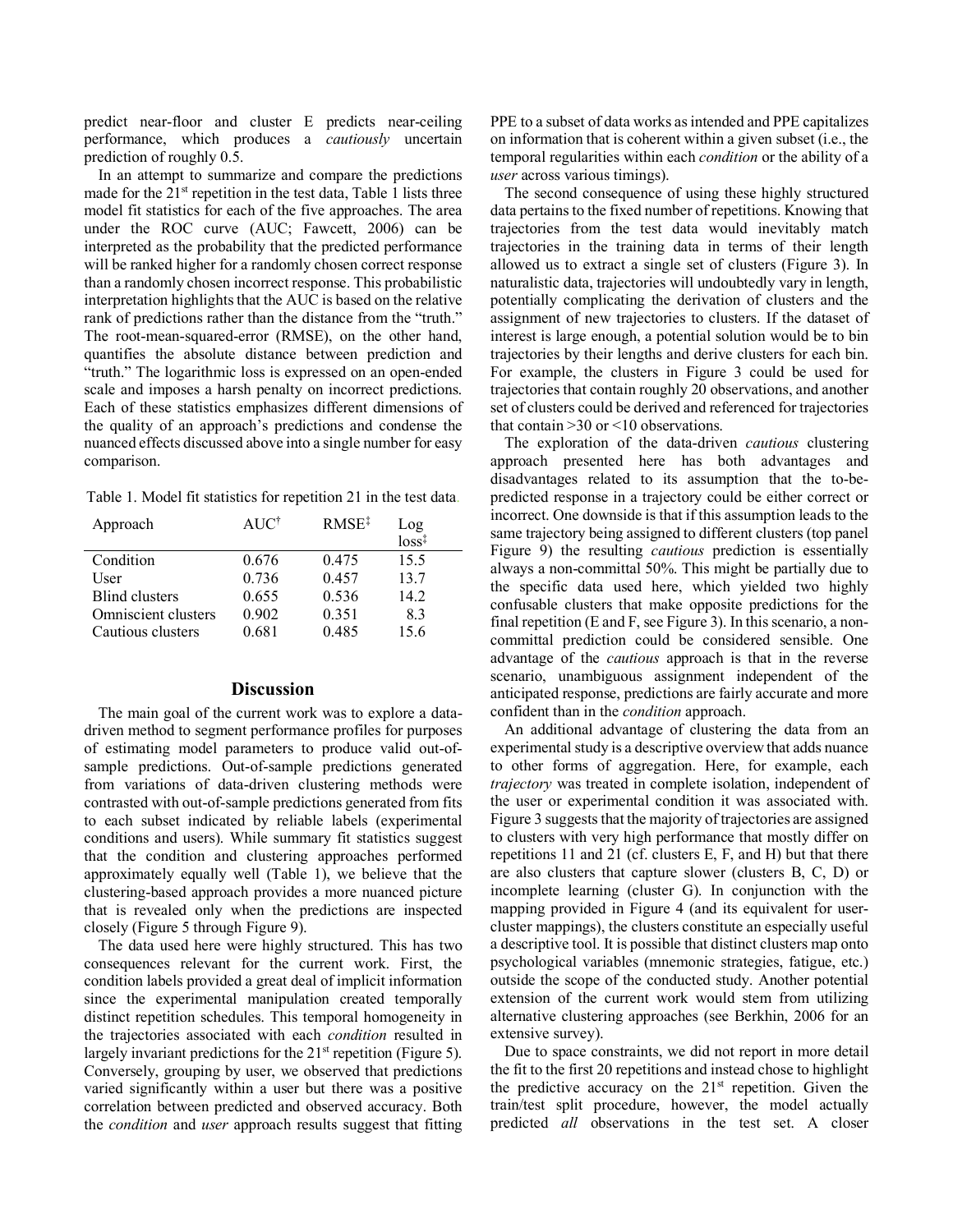predict near-floor and cluster E predicts near-ceiling performance, which produces a *cautiously* uncertain prediction of roughly 0.5.

In an attempt to summarize and compare the predictions made for the  $21<sup>st</sup>$  repetition in the test data. Table 1 lists three model fit statistics for each of the five approaches. The area under the ROC curve (AUC; Fawcett, 2006) can be interpreted as the probability that the predicted performance will be ranked higher for a randomly chosen correct response than a randomly chosen incorrect response. This probabilistic interpretation highlights that the AUC is based on the relative rank of predictions rather than the distance from the "truth." The root-mean-squared-error (RMSE), on the other hand, quantifies the absolute distance between prediction and "truth." The logarithmic loss is expressed on an open-ended scale and imposes a harsh penalty on incorrect predictions. Each of these statistics emphasizes different dimensions of the quality of an approach's predictions and condense the nuanced effects discussed above into a single number for easy comparison.

Table 1. Model fit statistics for repetition 21 in the test data.

| Approach              | AUC <sup>†</sup> | $RMSE^{\ddagger}$ |                                             |
|-----------------------|------------------|-------------------|---------------------------------------------|
|                       |                  |                   | $\frac{\text{Log}}{\text{loss}^{\ddagger}}$ |
| Condition             | 0.676            | 0.475             | 15.5                                        |
| User                  | 0.736            | 0.457             | 13.7                                        |
| <b>Blind clusters</b> | 0.655            | 0.536             | 14.2                                        |
| Omniscient clusters   | 0.902            | 0.351             | 83                                          |
| Cautious clusters     | 0.681            | 0.485             | 15.6                                        |
|                       |                  |                   |                                             |

# **Discussion**

The main goal of the current work was to explore a datadriven method to segment performance profiles for purposes of estimating model parameters to produce valid out-ofsample predictions. Out-of-sample predictions generated from variations of data-driven clustering methods were contrasted with out-of-sample predictions generated from fits to each subset indicated by reliable labels (experimental conditions and users). While summary fit statistics suggest that the condition and clustering approaches performed approximately equally well (Table 1), we believe that the clustering-based approach provides a more nuanced picture that is revealed only when the predictions are inspected closely (Figure 5 through Figure 9).

The data used here were highly structured. This has two consequences relevant for the current work. First, the condition labels provided a great deal of implicit information since the experimental manipulation created temporally distinct repetition schedules. This temporal homogeneity in the trajectories associated with each *condition* resulted in largely invariant predictions for the 21<sup>st</sup> repetition (Figure 5). Conversely, grouping by user, we observed that predictions varied significantly within a user but there was a positive correlation between predicted and observed accuracy. Both the *condition* and *user* approach results suggest that fitting

PPE to a subset of data works as intended and PPE capitalizes on information that is coherent within a given subset (i.e., the temporal regularities within each *condition* or the ability of a *user* across various timings).

The second consequence of using these highly structured data pertains to the fixed number of repetitions. Knowing that trajectories from the test data would inevitably match trajectories in the training data in terms of their length allowed us to extract a single set of clusters (Figure 3). In naturalistic data, trajectories will undoubtedly vary in length, potentially complicating the derivation of clusters and the assignment of new trajectories to clusters. If the dataset of interest is large enough, a potential solution would be to bin trajectories by their lengths and derive clusters for each bin. For example, the clusters in Figure 3 could be used for trajectories that contain roughly 20 observations, and another set of clusters could be derived and referenced for trajectories that contain >30 or <10 observations.

The exploration of the data-driven *cautious* clustering approach presented here has both advantages and disadvantages related to its assumption that the to-bepredicted response in a trajectory could be either correct or incorrect. One downside is that if this assumption leads to the same trajectory being assigned to different clusters (top panel Figure 9) the resulting *cautious* prediction is essentially always a non-committal 50%. This might be partially due to the specific data used here, which yielded two highly confusable clusters that make opposite predictions for the final repetition (E and F, see Figure 3). In this scenario, a noncommittal prediction could be considered sensible. One advantage of the *cautious* approach is that in the reverse scenario, unambiguous assignment independent of the anticipated response, predictions are fairly accurate and more confident than in the *condition* approach.

An additional advantage of clustering the data from an experimental study is a descriptive overview that adds nuance to other forms of aggregation. Here, for example, each *trajectory* was treated in complete isolation, independent of the user or experimental condition it was associated with. Figure 3 suggests that the majority of trajectories are assigned to clusters with very high performance that mostly differ on repetitions 11 and 21 (cf. clusters E, F, and H) but that there are also clusters that capture slower (clusters B, C, D) or incomplete learning (cluster G). In conjunction with the mapping provided in Figure 4 (and its equivalent for usercluster mappings), the clusters constitute an especially useful a descriptive tool. It is possible that distinct clusters map onto psychological variables (mnemonic strategies, fatigue, etc.) outside the scope of the conducted study. Another potential extension of the current work would stem from utilizing alternative clustering approaches (see Berkhin, 2006 for an extensive survey).

Due to space constraints, we did not report in more detail the fit to the first 20 repetitions and instead chose to highlight the predictive accuracy on the  $21<sup>st</sup>$  repetition. Given the train/test split procedure, however, the model actually predicted *all* observations in the test set. A closer